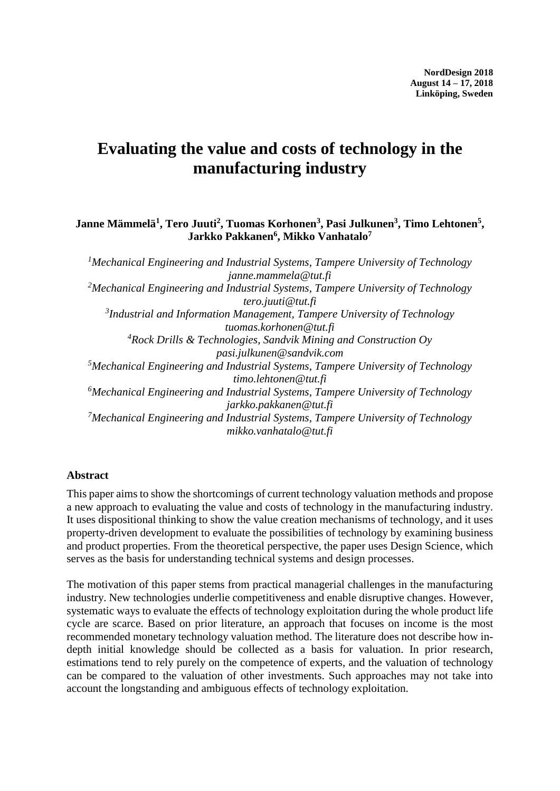# **Evaluating the value and costs of technology in the manufacturing industry**

#### **Janne Mämmelä<sup>1</sup> , Tero Juuti<sup>2</sup> , Tuomas Korhonen<sup>3</sup> , Pasi Julkunen<sup>3</sup> , Timo Lehtonen<sup>5</sup> , Jarkko Pakkanen<sup>6</sup> , Mikko Vanhatalo<sup>7</sup>**

*<sup>1</sup>Mechanical Engineering and Industrial Systems, Tampere University of Technology janne.mammela@tut.fi <sup>2</sup>Mechanical Engineering and Industrial Systems, Tampere University of Technology tero.juuti@tut.fi 3 Industrial and Information Management, Tampere University of Technology tuomas.korhonen@tut.fi <sup>4</sup>Rock Drills & Technologies, Sandvik Mining and Construction Oy pasi.julkunen@sandvik.com <sup>5</sup>Mechanical Engineering and Industrial Systems, Tampere University of Technology timo.lehtonen@tut.fi <sup>6</sup>Mechanical Engineering and Industrial Systems, Tampere University of Technology jarkko.pakkanen@tut.fi <sup>7</sup>Mechanical Engineering and Industrial Systems, Tampere University of Technology mikko.vanhatalo@tut.fi*

#### **Abstract**

This paper aims to show the shortcomings of current technology valuation methods and propose a new approach to evaluating the value and costs of technology in the manufacturing industry. It uses dispositional thinking to show the value creation mechanisms of technology, and it uses property-driven development to evaluate the possibilities of technology by examining business and product properties. From the theoretical perspective, the paper uses Design Science, which serves as the basis for understanding technical systems and design processes.

The motivation of this paper stems from practical managerial challenges in the manufacturing industry. New technologies underlie competitiveness and enable disruptive changes. However, systematic ways to evaluate the effects of technology exploitation during the whole product life cycle are scarce. Based on prior literature, an approach that focuses on income is the most recommended monetary technology valuation method. The literature does not describe how indepth initial knowledge should be collected as a basis for valuation. In prior research, estimations tend to rely purely on the competence of experts, and the valuation of technology can be compared to the valuation of other investments. Such approaches may not take into account the longstanding and ambiguous effects of technology exploitation.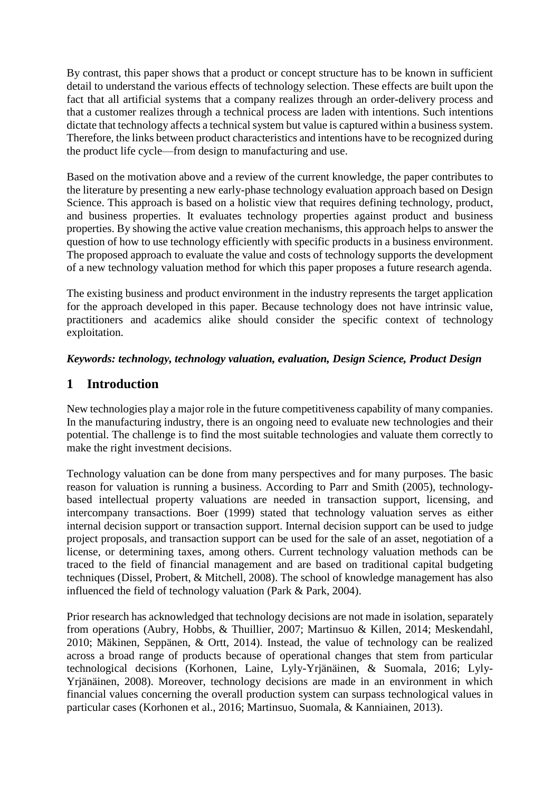By contrast, this paper shows that a product or concept structure has to be known in sufficient detail to understand the various effects of technology selection. These effects are built upon the fact that all artificial systems that a company realizes through an order-delivery process and that a customer realizes through a technical process are laden with intentions. Such intentions dictate that technology affects a technical system but value is captured within a business system. Therefore, the links between product characteristics and intentions have to be recognized during the product life cycle—from design to manufacturing and use.

Based on the motivation above and a review of the current knowledge, the paper contributes to the literature by presenting a new early-phase technology evaluation approach based on Design Science. This approach is based on a holistic view that requires defining technology, product, and business properties. It evaluates technology properties against product and business properties. By showing the active value creation mechanisms, this approach helps to answer the question of how to use technology efficiently with specific products in a business environment. The proposed approach to evaluate the value and costs of technology supports the development of a new technology valuation method for which this paper proposes a future research agenda.

The existing business and product environment in the industry represents the target application for the approach developed in this paper. Because technology does not have intrinsic value, practitioners and academics alike should consider the specific context of technology exploitation.

## *Keywords: technology, technology valuation, evaluation, Design Science, Product Design*

# **1 Introduction**

New technologies play a major role in the future competitiveness capability of many companies. In the manufacturing industry, there is an ongoing need to evaluate new technologies and their potential. The challenge is to find the most suitable technologies and valuate them correctly to make the right investment decisions.

Technology valuation can be done from many perspectives and for many purposes. The basic reason for valuation is running a business. According to Parr and Smith (2005), technologybased intellectual property valuations are needed in transaction support, licensing, and intercompany transactions. Boer (1999) stated that technology valuation serves as either internal decision support or transaction support. Internal decision support can be used to judge project proposals, and transaction support can be used for the sale of an asset, negotiation of a license, or determining taxes, among others. Current technology valuation methods can be traced to the field of financial management and are based on traditional capital budgeting techniques (Dissel, Probert, & Mitchell, 2008). The school of knowledge management has also influenced the field of technology valuation (Park & Park, 2004).

Prior research has acknowledged that technology decisions are not made in isolation, separately from operations (Aubry, Hobbs, & Thuillier, 2007; Martinsuo & Killen, 2014; Meskendahl, 2010; Mäkinen, Seppänen, & Ortt, 2014). Instead, the value of technology can be realized across a broad range of products because of operational changes that stem from particular technological decisions (Korhonen, Laine, Lyly-Yrjänäinen, & Suomala, 2016; Lyly-Yrjänäinen, 2008). Moreover, technology decisions are made in an environment in which financial values concerning the overall production system can surpass technological values in particular cases (Korhonen et al., 2016; Martinsuo, Suomala, & Kanniainen, 2013).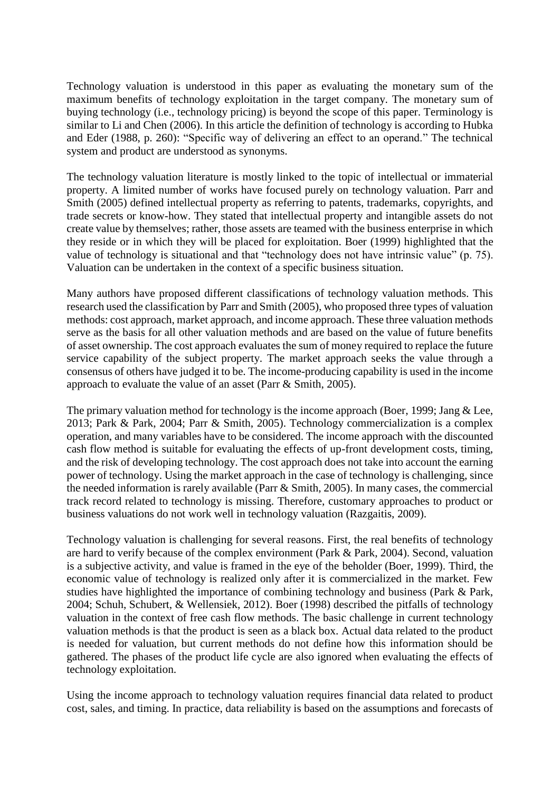Technology valuation is understood in this paper as evaluating the monetary sum of the maximum benefits of technology exploitation in the target company. The monetary sum of buying technology (i.e., technology pricing) is beyond the scope of this paper. Terminology is similar to Li and Chen (2006). In this article the definition of technology is according to Hubka and Eder (1988, p. 260): "Specific way of delivering an effect to an operand." The technical system and product are understood as synonyms.

The technology valuation literature is mostly linked to the topic of intellectual or immaterial property. A limited number of works have focused purely on technology valuation. Parr and Smith (2005) defined intellectual property as referring to patents, trademarks, copyrights, and trade secrets or know-how. They stated that intellectual property and intangible assets do not create value by themselves; rather, those assets are teamed with the business enterprise in which they reside or in which they will be placed for exploitation. Boer (1999) highlighted that the value of technology is situational and that "technology does not have intrinsic value" (p. 75). Valuation can be undertaken in the context of a specific business situation.

Many authors have proposed different classifications of technology valuation methods. This research used the classification by Parr and Smith (2005), who proposed three types of valuation methods: cost approach, market approach, and income approach. These three valuation methods serve as the basis for all other valuation methods and are based on the value of future benefits of asset ownership. The cost approach evaluates the sum of money required to replace the future service capability of the subject property. The market approach seeks the value through a consensus of others have judged it to be. The income-producing capability is used in the income approach to evaluate the value of an asset (Parr & Smith, 2005).

The primary valuation method for technology is the income approach (Boer, 1999; Jang & Lee, 2013; Park & Park, 2004; Parr & Smith, 2005). Technology commercialization is a complex operation, and many variables have to be considered. The income approach with the discounted cash flow method is suitable for evaluating the effects of up-front development costs, timing, and the risk of developing technology. The cost approach does not take into account the earning power of technology. Using the market approach in the case of technology is challenging, since the needed information is rarely available (Parr & Smith, 2005). In many cases, the commercial track record related to technology is missing. Therefore, customary approaches to product or business valuations do not work well in technology valuation (Razgaitis, 2009).

Technology valuation is challenging for several reasons. First, the real benefits of technology are hard to verify because of the complex environment (Park & Park, 2004). Second, valuation is a subjective activity, and value is framed in the eye of the beholder (Boer, 1999). Third, the economic value of technology is realized only after it is commercialized in the market. Few studies have highlighted the importance of combining technology and business (Park & Park, 2004; Schuh, Schubert, & Wellensiek, 2012). Boer (1998) described the pitfalls of technology valuation in the context of free cash flow methods. The basic challenge in current technology valuation methods is that the product is seen as a black box. Actual data related to the product is needed for valuation, but current methods do not define how this information should be gathered. The phases of the product life cycle are also ignored when evaluating the effects of technology exploitation.

Using the income approach to technology valuation requires financial data related to product cost, sales, and timing. In practice, data reliability is based on the assumptions and forecasts of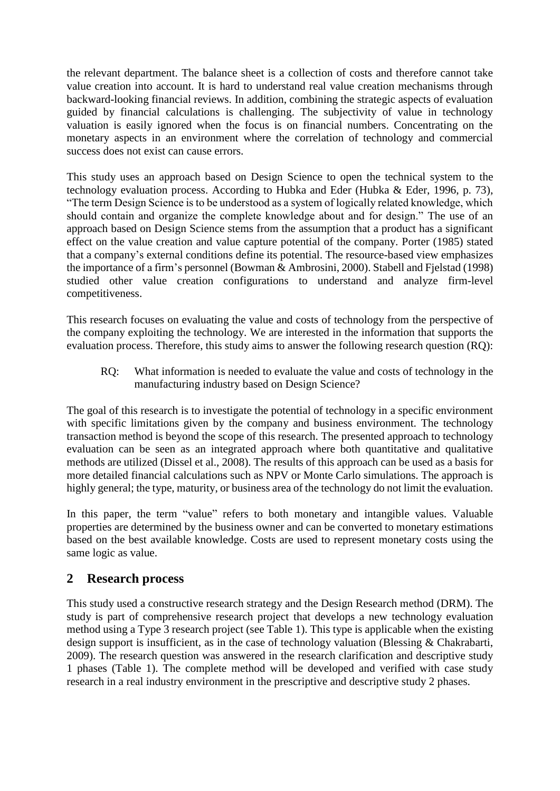the relevant department. The balance sheet is a collection of costs and therefore cannot take value creation into account. It is hard to understand real value creation mechanisms through backward-looking financial reviews. In addition, combining the strategic aspects of evaluation guided by financial calculations is challenging. The subjectivity of value in technology valuation is easily ignored when the focus is on financial numbers. Concentrating on the monetary aspects in an environment where the correlation of technology and commercial success does not exist can cause errors.

This study uses an approach based on Design Science to open the technical system to the technology evaluation process. According to Hubka and Eder (Hubka & Eder, 1996, p. 73), "The term Design Science is to be understood as a system of logically related knowledge, which should contain and organize the complete knowledge about and for design." The use of an approach based on Design Science stems from the assumption that a product has a significant effect on the value creation and value capture potential of the company. Porter (1985) stated that a company's external conditions define its potential. The resource-based view emphasizes the importance of a firm's personnel (Bowman & Ambrosini, 2000). Stabell and Fjelstad (1998) studied other value creation configurations to understand and analyze firm-level competitiveness.

This research focuses on evaluating the value and costs of technology from the perspective of the company exploiting the technology. We are interested in the information that supports the evaluation process. Therefore, this study aims to answer the following research question (RQ):

RQ: What information is needed to evaluate the value and costs of technology in the manufacturing industry based on Design Science?

The goal of this research is to investigate the potential of technology in a specific environment with specific limitations given by the company and business environment. The technology transaction method is beyond the scope of this research. The presented approach to technology evaluation can be seen as an integrated approach where both quantitative and qualitative methods are utilized (Dissel et al., 2008). The results of this approach can be used as a basis for more detailed financial calculations such as NPV or Monte Carlo simulations. The approach is highly general; the type, maturity, or business area of the technology do not limit the evaluation.

In this paper, the term "value" refers to both monetary and intangible values. Valuable properties are determined by the business owner and can be converted to monetary estimations based on the best available knowledge. Costs are used to represent monetary costs using the same logic as value.

## **2 Research process**

This study used a constructive research strategy and the Design Research method (DRM). The study is part of comprehensive research project that develops a new technology evaluation method using a Type 3 research project (see [Table 1\)](#page-4-0). This type is applicable when the existing design support is insufficient, as in the case of technology valuation (Blessing & Chakrabarti, 2009). The research question was answered in the research clarification and descriptive study 1 phases [\(Table 1\)](#page-4-0). The complete method will be developed and verified with case study research in a real industry environment in the prescriptive and descriptive study 2 phases.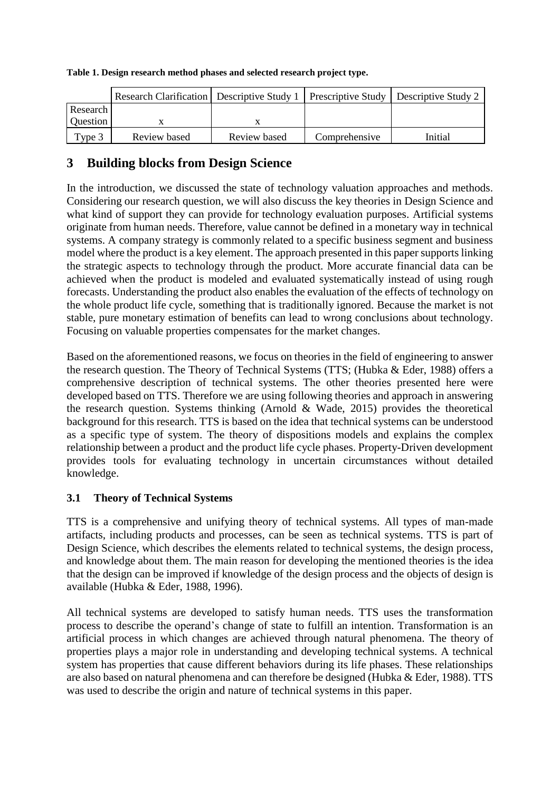|                 | Research Clarification   Descriptive Study 1 |              |               | <b>Prescriptive Study   Descriptive Study 2</b> |
|-----------------|----------------------------------------------|--------------|---------------|-------------------------------------------------|
| Research        |                                              |              |               |                                                 |
| <b>Ouestion</b> |                                              |              |               |                                                 |
| Type 3          | Review based                                 | Review based | Comprehensive | Initial                                         |

#### <span id="page-4-0"></span>**Table 1. Design research method phases and selected research project type.**

# **3 Building blocks from Design Science**

In the introduction, we discussed the state of technology valuation approaches and methods. Considering our research question, we will also discuss the key theories in Design Science and what kind of support they can provide for technology evaluation purposes. Artificial systems originate from human needs. Therefore, value cannot be defined in a monetary way in technical systems. A company strategy is commonly related to a specific business segment and business model where the product is a key element. The approach presented in this paper supports linking the strategic aspects to technology through the product. More accurate financial data can be achieved when the product is modeled and evaluated systematically instead of using rough forecasts. Understanding the product also enables the evaluation of the effects of technology on the whole product life cycle, something that is traditionally ignored. Because the market is not stable, pure monetary estimation of benefits can lead to wrong conclusions about technology. Focusing on valuable properties compensates for the market changes.

Based on the aforementioned reasons, we focus on theories in the field of engineering to answer the research question. The Theory of Technical Systems (TTS; (Hubka & Eder, 1988) offers a comprehensive description of technical systems. The other theories presented here were developed based on TTS. Therefore we are using following theories and approach in answering the research question. Systems thinking (Arnold & Wade, 2015) provides the theoretical background for this research. TTS is based on the idea that technical systems can be understood as a specific type of system. The theory of dispositions models and explains the complex relationship between a product and the product life cycle phases. Property-Driven development provides tools for evaluating technology in uncertain circumstances without detailed knowledge.

## **3.1 Theory of Technical Systems**

TTS is a comprehensive and unifying theory of technical systems. All types of man-made artifacts, including products and processes, can be seen as technical systems. TTS is part of Design Science, which describes the elements related to technical systems, the design process, and knowledge about them. The main reason for developing the mentioned theories is the idea that the design can be improved if knowledge of the design process and the objects of design is available (Hubka & Eder, 1988, 1996).

All technical systems are developed to satisfy human needs. TTS uses the transformation process to describe the operand's change of state to fulfill an intention. Transformation is an artificial process in which changes are achieved through natural phenomena. The theory of properties plays a major role in understanding and developing technical systems. A technical system has properties that cause different behaviors during its life phases. These relationships are also based on natural phenomena and can therefore be designed (Hubka & Eder, 1988). TTS was used to describe the origin and nature of technical systems in this paper.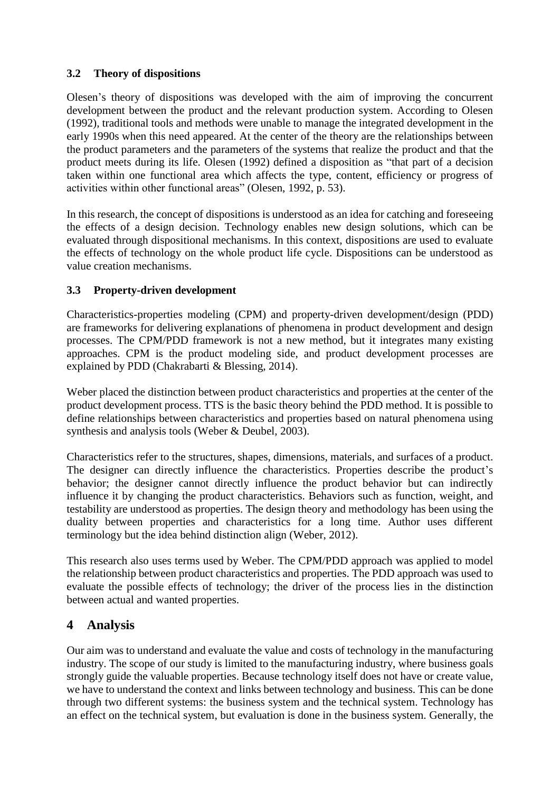#### **3.2 Theory of dispositions**

Olesen's theory of dispositions was developed with the aim of improving the concurrent development between the product and the relevant production system. According to Olesen (1992), traditional tools and methods were unable to manage the integrated development in the early 1990s when this need appeared. At the center of the theory are the relationships between the product parameters and the parameters of the systems that realize the product and that the product meets during its life. Olesen (1992) defined a disposition as "that part of a decision taken within one functional area which affects the type, content, efficiency or progress of activities within other functional areas" (Olesen, 1992, p. 53).

In this research, the concept of dispositions is understood as an idea for catching and foreseeing the effects of a design decision. Technology enables new design solutions, which can be evaluated through dispositional mechanisms. In this context, dispositions are used to evaluate the effects of technology on the whole product life cycle. Dispositions can be understood as value creation mechanisms.

## **3.3 Property-driven development**

Characteristics-properties modeling (CPM) and property-driven development/design (PDD) are frameworks for delivering explanations of phenomena in product development and design processes. The CPM/PDD framework is not a new method, but it integrates many existing approaches. CPM is the product modeling side, and product development processes are explained by PDD (Chakrabarti & Blessing, 2014).

Weber placed the distinction between product characteristics and properties at the center of the product development process. TTS is the basic theory behind the PDD method. It is possible to define relationships between characteristics and properties based on natural phenomena using synthesis and analysis tools (Weber & Deubel, 2003).

Characteristics refer to the structures, shapes, dimensions, materials, and surfaces of a product. The designer can directly influence the characteristics. Properties describe the product's behavior; the designer cannot directly influence the product behavior but can indirectly influence it by changing the product characteristics. Behaviors such as function, weight, and testability are understood as properties. The design theory and methodology has been using the duality between properties and characteristics for a long time. Author uses different terminology but the idea behind distinction align (Weber, 2012).

This research also uses terms used by Weber. The CPM/PDD approach was applied to model the relationship between product characteristics and properties. The PDD approach was used to evaluate the possible effects of technology; the driver of the process lies in the distinction between actual and wanted properties.

## **4 Analysis**

Our aim was to understand and evaluate the value and costs of technology in the manufacturing industry. The scope of our study is limited to the manufacturing industry, where business goals strongly guide the valuable properties. Because technology itself does not have or create value, we have to understand the context and links between technology and business. This can be done through two different systems: the business system and the technical system. Technology has an effect on the technical system, but evaluation is done in the business system. Generally, the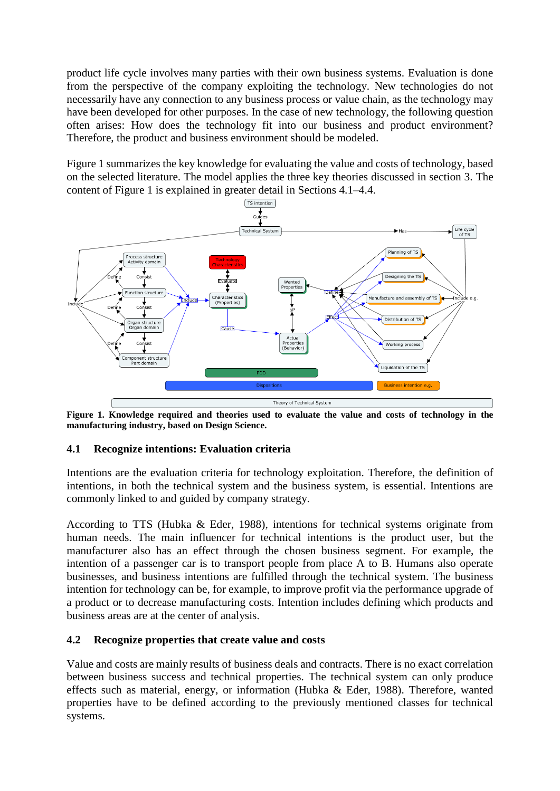product life cycle involves many parties with their own business systems. Evaluation is done from the perspective of the company exploiting the technology. New technologies do not necessarily have any connection to any business process or value chain, as the technology may have been developed for other purposes. In the case of new technology, the following question often arises: How does the technology fit into our business and product environment? Therefore, the product and business environment should be modeled.

[Figure 1](#page-6-0) summarizes the key knowledge for evaluating the value and costs of technology, based on the selected literature. The model applies the three key theories discussed in section 3. The content of Figure 1 is explained in greater detail in Sections 4.1–4.4.



<span id="page-6-0"></span>**Figure 1. Knowledge required and theories used to evaluate the value and costs of technology in the manufacturing industry, based on Design Science.**

#### **4.1 Recognize intentions: Evaluation criteria**

Intentions are the evaluation criteria for technology exploitation. Therefore, the definition of intentions, in both the technical system and the business system, is essential. Intentions are commonly linked to and guided by company strategy.

According to TTS (Hubka & Eder, 1988), intentions for technical systems originate from human needs. The main influencer for technical intentions is the product user, but the manufacturer also has an effect through the chosen business segment. For example, the intention of a passenger car is to transport people from place A to B. Humans also operate businesses, and business intentions are fulfilled through the technical system. The business intention for technology can be, for example, to improve profit via the performance upgrade of a product or to decrease manufacturing costs. Intention includes defining which products and business areas are at the center of analysis.

#### **4.2 Recognize properties that create value and costs**

Value and costs are mainly results of business deals and contracts. There is no exact correlation between business success and technical properties. The technical system can only produce effects such as material, energy, or information (Hubka & Eder, 1988). Therefore, wanted properties have to be defined according to the previously mentioned classes for technical systems.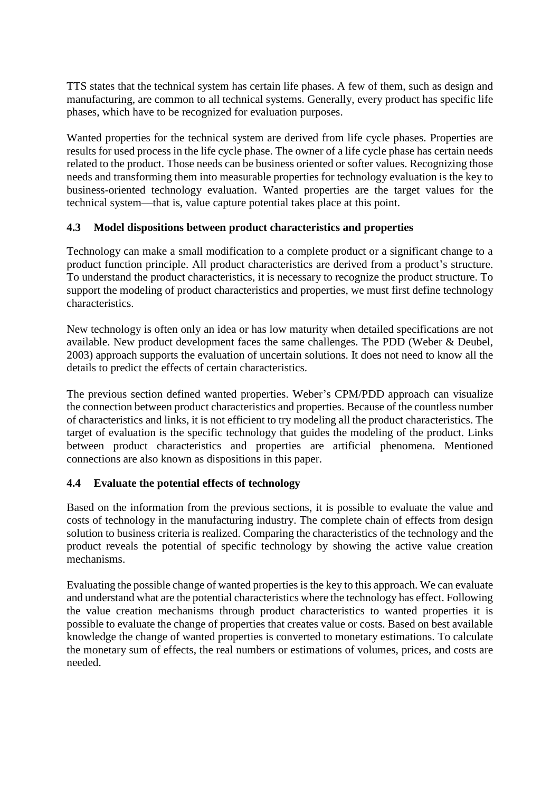TTS states that the technical system has certain life phases. A few of them, such as design and manufacturing, are common to all technical systems. Generally, every product has specific life phases, which have to be recognized for evaluation purposes.

Wanted properties for the technical system are derived from life cycle phases. Properties are results for used process in the life cycle phase. The owner of a life cycle phase has certain needs related to the product. Those needs can be business oriented or softer values. Recognizing those needs and transforming them into measurable properties for technology evaluation is the key to business-oriented technology evaluation. Wanted properties are the target values for the technical system—that is, value capture potential takes place at this point.

#### **4.3 Model dispositions between product characteristics and properties**

Technology can make a small modification to a complete product or a significant change to a product function principle. All product characteristics are derived from a product's structure. To understand the product characteristics, it is necessary to recognize the product structure. To support the modeling of product characteristics and properties, we must first define technology characteristics.

New technology is often only an idea or has low maturity when detailed specifications are not available. New product development faces the same challenges. The PDD (Weber & Deubel, 2003) approach supports the evaluation of uncertain solutions. It does not need to know all the details to predict the effects of certain characteristics.

The previous section defined wanted properties. Weber's CPM/PDD approach can visualize the connection between product characteristics and properties. Because of the countless number of characteristics and links, it is not efficient to try modeling all the product characteristics. The target of evaluation is the specific technology that guides the modeling of the product. Links between product characteristics and properties are artificial phenomena. Mentioned connections are also known as dispositions in this paper.

## **4.4 Evaluate the potential effects of technology**

Based on the information from the previous sections, it is possible to evaluate the value and costs of technology in the manufacturing industry. The complete chain of effects from design solution to business criteria is realized. Comparing the characteristics of the technology and the product reveals the potential of specific technology by showing the active value creation mechanisms.

Evaluating the possible change of wanted properties is the key to this approach. We can evaluate and understand what are the potential characteristics where the technology has effect. Following the value creation mechanisms through product characteristics to wanted properties it is possible to evaluate the change of properties that creates value or costs. Based on best available knowledge the change of wanted properties is converted to monetary estimations. To calculate the monetary sum of effects, the real numbers or estimations of volumes, prices, and costs are needed.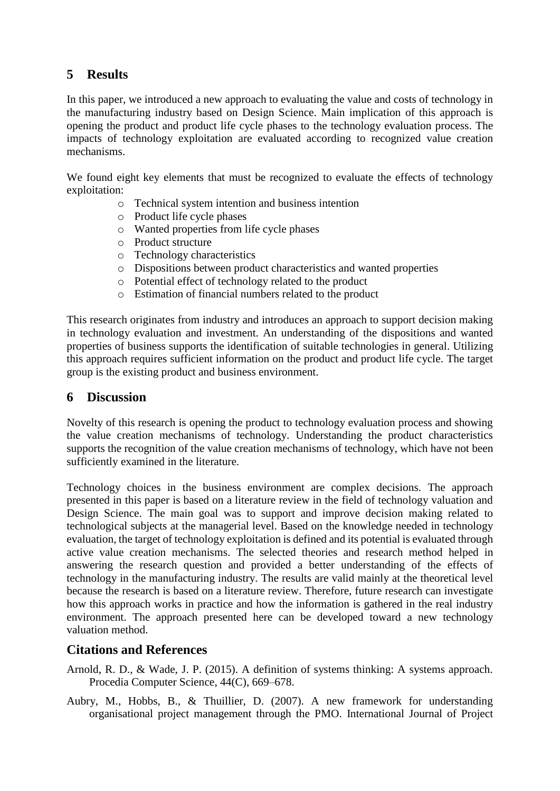# **5 Results**

In this paper, we introduced a new approach to evaluating the value and costs of technology in the manufacturing industry based on Design Science. Main implication of this approach is opening the product and product life cycle phases to the technology evaluation process. The impacts of technology exploitation are evaluated according to recognized value creation mechanisms.

We found eight key elements that must be recognized to evaluate the effects of technology exploitation:

- o Technical system intention and business intention
- o Product life cycle phases
- o Wanted properties from life cycle phases
- o Product structure
- o Technology characteristics
- o Dispositions between product characteristics and wanted properties
- o Potential effect of technology related to the product
- o Estimation of financial numbers related to the product

This research originates from industry and introduces an approach to support decision making in technology evaluation and investment. An understanding of the dispositions and wanted properties of business supports the identification of suitable technologies in general. Utilizing this approach requires sufficient information on the product and product life cycle. The target group is the existing product and business environment.

## **6 Discussion**

Novelty of this research is opening the product to technology evaluation process and showing the value creation mechanisms of technology. Understanding the product characteristics supports the recognition of the value creation mechanisms of technology, which have not been sufficiently examined in the literature.

Technology choices in the business environment are complex decisions. The approach presented in this paper is based on a literature review in the field of technology valuation and Design Science. The main goal was to support and improve decision making related to technological subjects at the managerial level. Based on the knowledge needed in technology evaluation, the target of technology exploitation is defined and its potential is evaluated through active value creation mechanisms. The selected theories and research method helped in answering the research question and provided a better understanding of the effects of technology in the manufacturing industry. The results are valid mainly at the theoretical level because the research is based on a literature review. Therefore, future research can investigate how this approach works in practice and how the information is gathered in the real industry environment. The approach presented here can be developed toward a new technology valuation method.

## **Citations and References**

- Arnold, R. D., & Wade, J. P. (2015). A definition of systems thinking: A systems approach. Procedia Computer Science, 44(C), 669–678.
- Aubry, M., Hobbs, B., & Thuillier, D. (2007). A new framework for understanding organisational project management through the PMO. International Journal of Project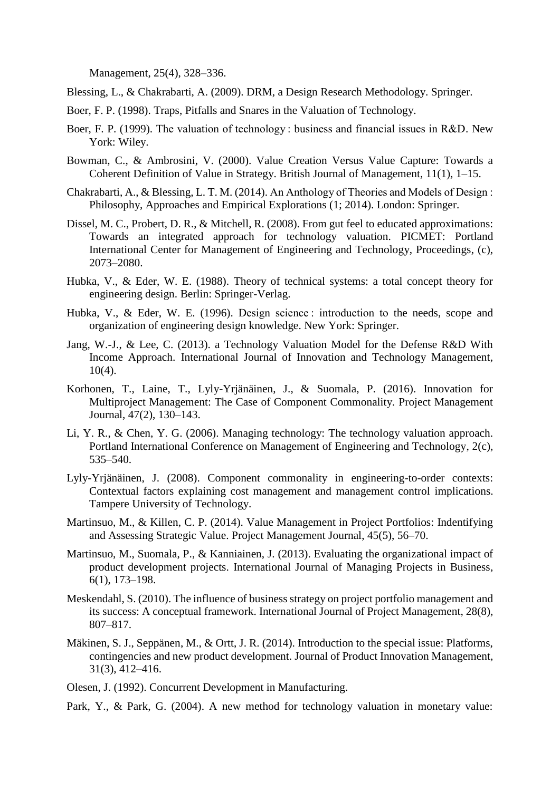Management, 25(4), 328–336.

Blessing, L., & Chakrabarti, A. (2009). DRM, a Design Research Methodology. Springer.

- Boer, F. P. (1998). Traps, Pitfalls and Snares in the Valuation of Technology.
- Boer, F. P. (1999). The valuation of technology : business and financial issues in R&D. New York: Wiley.
- Bowman, C., & Ambrosini, V. (2000). Value Creation Versus Value Capture: Towards a Coherent Definition of Value in Strategy. British Journal of Management, 11(1), 1–15.
- Chakrabarti, A., & Blessing, L. T. M. (2014). An Anthology of Theories and Models of Design : Philosophy, Approaches and Empirical Explorations (1; 2014). London: Springer.
- Dissel, M. C., Probert, D. R., & Mitchell, R. (2008). From gut feel to educated approximations: Towards an integrated approach for technology valuation. PICMET: Portland International Center for Management of Engineering and Technology, Proceedings, (c), 2073–2080.
- Hubka, V., & Eder, W. E. (1988). Theory of technical systems: a total concept theory for engineering design. Berlin: Springer-Verlag.
- Hubka, V., & Eder, W. E. (1996). Design science : introduction to the needs, scope and organization of engineering design knowledge. New York: Springer.
- Jang, W.-J., & Lee, C. (2013). a Technology Valuation Model for the Defense R&D With Income Approach. International Journal of Innovation and Technology Management, 10(4).
- Korhonen, T., Laine, T., Lyly-Yrjänäinen, J., & Suomala, P. (2016). Innovation for Multiproject Management: The Case of Component Commonality. Project Management Journal, 47(2), 130–143.
- Li, Y. R., & Chen, Y. G. (2006). Managing technology: The technology valuation approach. Portland International Conference on Management of Engineering and Technology, 2(c), 535–540.
- Lyly-Yrjänäinen, J. (2008). Component commonality in engineering-to-order contexts: Contextual factors explaining cost management and management control implications. Tampere University of Technology.
- Martinsuo, M., & Killen, C. P. (2014). Value Management in Project Portfolios: Indentifying and Assessing Strategic Value. Project Management Journal, 45(5), 56–70.
- Martinsuo, M., Suomala, P., & Kanniainen, J. (2013). Evaluating the organizational impact of product development projects. International Journal of Managing Projects in Business, 6(1), 173–198.
- Meskendahl, S. (2010). The influence of business strategy on project portfolio management and its success: A conceptual framework. International Journal of Project Management, 28(8), 807–817.
- Mäkinen, S. J., Seppänen, M., & Ortt, J. R. (2014). Introduction to the special issue: Platforms, contingencies and new product development. Journal of Product Innovation Management, 31(3), 412–416.
- Olesen, J. (1992). Concurrent Development in Manufacturing.

Park, Y., & Park, G. (2004). A new method for technology valuation in monetary value: